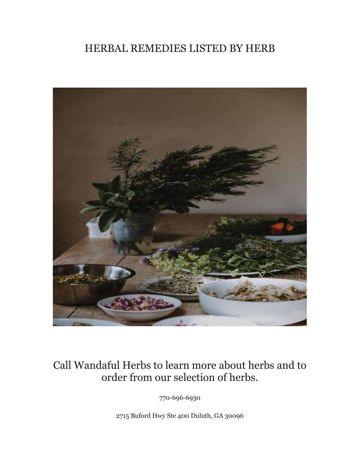## HERBAL REMEDIES LISTED BY HERB



## Call Wandaful Herbs to learn more about herbs and to order from our selection of herbs.

770-696-6930

2715 Buford Hwy Ste 400 Duluth, GA 30096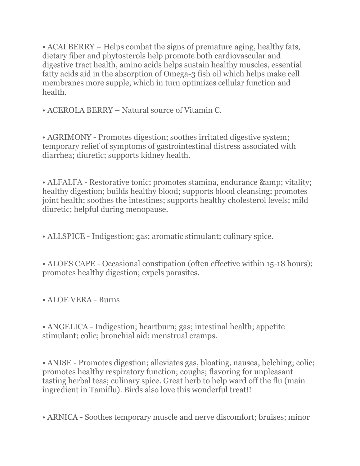• ACAI BERRY – Helps combat the signs of premature aging, healthy fats, dietary fiber and phytosterols help promote both cardiovascular and digestive tract health, amino acids helps sustain healthy muscles, essential fatty acids aid in the absorption of Omega-3 fish oil which helps make cell membranes more supple, which in turn optimizes cellular function and health.

• ACEROLA BERRY – Natural source of Vitamin C.

• AGRIMONY - Promotes digestion; soothes irritated digestive system; temporary relief of symptoms of gastrointestinal distress associated with diarrhea; diuretic; supports kidney health.

• ALFALFA - Restorative tonic; promotes stamina, endurance & amp; vitality; healthy digestion; builds healthy blood; supports blood cleansing; promotes joint health; soothes the intestines; supports healthy cholesterol levels; mild diuretic; helpful during menopause.

• ALLSPICE - Indigestion; gas; aromatic stimulant; culinary spice.

• ALOES CAPE - Occasional constipation (often effective within 15-18 hours); promotes healthy digestion; expels parasites.

• ALOE VERA - Burns

• ANGELICA - Indigestion; heartburn; gas; intestinal health; appetite stimulant; colic; bronchial aid; menstrual cramps.

• ANISE - Promotes digestion; alleviates gas, bloating, nausea, belching; colic; promotes healthy respiratory function; coughs; flavoring for unpleasant tasting herbal teas; culinary spice. Great herb to help ward off the flu (main ingredient in Tamiflu). Birds also love this wonderful treat!!

• ARNICA - Soothes temporary muscle and nerve discomfort; bruises; minor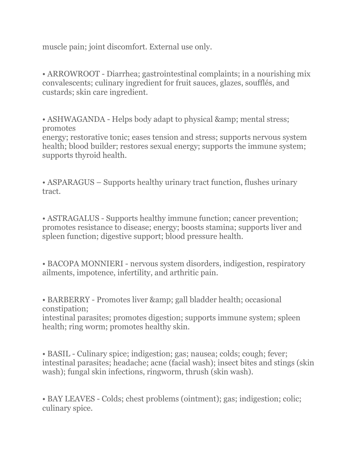muscle pain; joint discomfort. External use only.

• ARROWROOT - Diarrhea; gastrointestinal complaints; in a nourishing mix convalescents; culinary ingredient for fruit sauces, glazes, soufflés, and custards; skin care ingredient.

• ASHWAGANDA - Helps body adapt to physical & amp; mental stress; promotes

energy; restorative tonic; eases tension and stress; supports nervous system health; blood builder; restores sexual energy; supports the immune system; supports thyroid health.

• ASPARAGUS – Supports healthy urinary tract function, flushes urinary tract.

• ASTRAGALUS - Supports healthy immune function; cancer prevention; promotes resistance to disease; energy; boosts stamina; supports liver and spleen function; digestive support; blood pressure health.

• BACOPA MONNIERI - nervous system disorders, indigestion, respiratory ailments, impotence, infertility, and arthritic pain.

• BARBERRY - Promotes liver & amp; gall bladder health; occasional constipation;

intestinal parasites; promotes digestion; supports immune system; spleen health; ring worm; promotes healthy skin.

• BASIL - Culinary spice; indigestion; gas; nausea; colds; cough; fever; intestinal parasites; headache; acne (facial wash); insect bites and stings (skin wash); fungal skin infections, ringworm, thrush (skin wash).

• BAY LEAVES - Colds; chest problems (ointment); gas; indigestion; colic; culinary spice.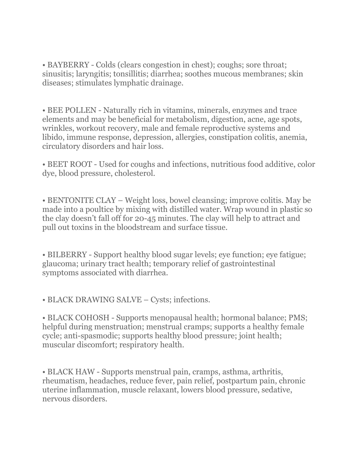• BAYBERRY - Colds (clears congestion in chest); coughs; sore throat; sinusitis; laryngitis; tonsillitis; diarrhea; soothes mucous membranes; skin diseases; stimulates lymphatic drainage.

• BEE POLLEN - Naturally rich in vitamins, minerals, enzymes and trace elements and may be beneficial for metabolism, digestion, acne, age spots, wrinkles, workout recovery, male and female reproductive systems and libido, immune response, depression, allergies, constipation colitis, anemia, circulatory disorders and hair loss.

• BEET ROOT - Used for coughs and infections, nutritious food additive, color dye, blood pressure, cholesterol.

• BENTONITE CLAY – Weight loss, bowel cleansing; improve colitis. May be made into a poultice by mixing with distilled water. Wrap wound in plastic so the clay doesn't fall off for 20-45 minutes. The clay will help to attract and pull out toxins in the bloodstream and surface tissue.

• BILBERRY - Support healthy blood sugar levels; eye function; eye fatigue; glaucoma; urinary tract health; temporary relief of gastrointestinal symptoms associated with diarrhea.

• BLACK DRAWING SALVE – Cysts; infections.

• BLACK COHOSH - Supports menopausal health; hormonal balance; PMS; helpful during menstruation; menstrual cramps; supports a healthy female cycle; anti-spasmodic; supports healthy blood pressure; joint health; muscular discomfort; respiratory health.

• BLACK HAW - Supports menstrual pain, cramps, asthma, arthritis, rheumatism, headaches, reduce fever, pain relief, postpartum pain, chronic uterine inflammation, muscle relaxant, lowers blood pressure, sedative, nervous disorders.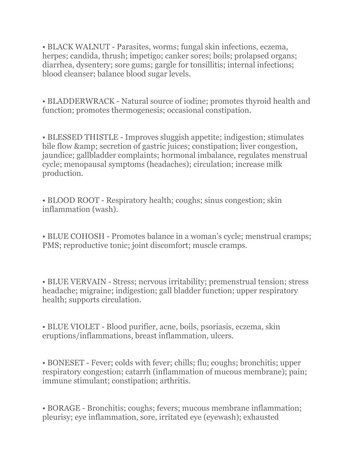• BLACK WALNUT - Parasites, worms; fungal skin infections, eczema, herpes; candida, thrush; impetigo; canker sores; boils; prolapsed organs; diarrhea, dysentery; sore gums; gargle for tonsillitis; internal infections; blood cleanser; balance blood sugar levels.

• BLADDERWRACK - Natural source of iodine; promotes thyroid health and function; promotes thermogenesis; occasional constipation.

• BLESSED THISTLE - Improves sluggish appetite; indigestion; stimulates bile flow & amp; secretion of gastric juices; constipation; liver congestion, jaundice; gallbladder complaints; hormonal imbalance, regulates menstrual cycle; menopausal symptoms (headaches); circulation; increase milk production.

• BLOOD ROOT - Respiratory health; coughs; sinus congestion; skin inflammation (wash).

• BLUE COHOSH - Promotes balance in a woman's cycle; menstrual cramps; PMS; reproductive tonic; joint discomfort; muscle cramps.

• BLUE VERVAIN - Stress; nervous irritability; premenstrual tension; stress headache; migraine; indigestion; gall bladder function; upper respiratory health; supports circulation.

• BLUE VIOLET - Blood purifier, acne, boils, psoriasis, eczema, skin eruptions/inflammations, breast inflammation, ulcers.

• BONESET - Fever; colds with fever; chills; flu; coughs; bronchitis; upper respiratory congestion; catarrh (inflammation of mucous membrane); pain; immune stimulant; constipation; arthritis.

• BORAGE - Bronchitis; coughs; fevers; mucous membrane inflammation; pleurisy; eye inflammation, sore, irritated eye (eyewash); exhausted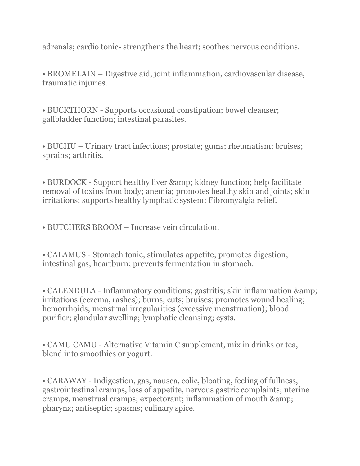adrenals; cardio tonic- strengthens the heart; soothes nervous conditions.

• BROMELAIN – Digestive aid, joint inflammation, cardiovascular disease, traumatic injuries.

• BUCKTHORN - Supports occasional constipation; bowel cleanser; gallbladder function; intestinal parasites.

• BUCHU – Urinary tract infections; prostate; gums; rheumatism; bruises; sprains; arthritis.

• BURDOCK - Support healthy liver & amp; kidney function; help facilitate removal of toxins from body; anemia; promotes healthy skin and joints; skin irritations; supports healthy lymphatic system; Fibromyalgia relief.

• BUTCHERS BROOM – Increase vein circulation.

• CALAMUS - Stomach tonic; stimulates appetite; promotes digestion; intestinal gas; heartburn; prevents fermentation in stomach.

• CALENDULA - Inflammatory conditions; gastritis; skin inflammation & irritations (eczema, rashes); burns; cuts; bruises; promotes wound healing; hemorrhoids; menstrual irregularities (excessive menstruation); blood purifier; glandular swelling; lymphatic cleansing; cysts.

• CAMU CAMU - Alternative Vitamin C supplement, mix in drinks or tea, blend into smoothies or yogurt.

• CARAWAY - Indigestion, gas, nausea, colic, bloating, feeling of fullness, gastrointestinal cramps, loss of appetite, nervous gastric complaints; uterine cramps, menstrual cramps; expectorant; inflammation of mouth & pharynx; antiseptic; spasms; culinary spice.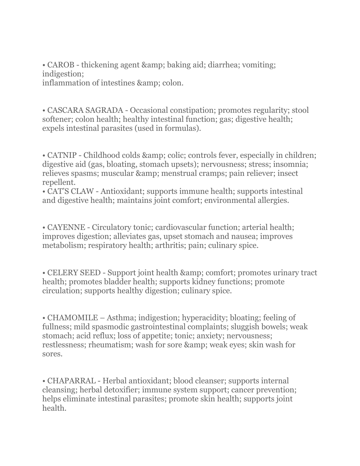• CAROB - thickening agent & amp; baking aid; diarrhea; vomiting; indigestion; inflammation of intestines & amp; colon.

• CASCARA SAGRADA - Occasional constipation; promotes regularity; stool softener; colon health; healthy intestinal function; gas; digestive health; expels intestinal parasites (used in formulas).

• CATNIP - Childhood colds & amp; colic; controls fever, especially in children; digestive aid (gas, bloating, stomach upsets); nervousness; stress; insomnia; relieves spasms; muscular & amp; menstrual cramps; pain reliever; insect repellent.

• CAT'S CLAW - Antioxidant; supports immune health; supports intestinal and digestive health; maintains joint comfort; environmental allergies.

• CAYENNE - Circulatory tonic; cardiovascular function; arterial health; improves digestion; alleviates gas, upset stomach and nausea; improves metabolism; respiratory health; arthritis; pain; culinary spice.

• CELERY SEED - Support joint health & amp; comfort; promotes urinary tract health; promotes bladder health; supports kidney functions; promote circulation; supports healthy digestion; culinary spice.

• CHAMOMILE – Asthma; indigestion; hyperacidity; bloating; feeling of fullness; mild spasmodic gastrointestinal complaints; sluggish bowels; weak stomach; acid reflux; loss of appetite; tonic; anxiety; nervousness; restlessness; rheumatism; wash for sore & amp; weak eyes; skin wash for sores.

• CHAPARRAL - Herbal antioxidant; blood cleanser; supports internal cleansing; herbal detoxifier; immune system support; cancer prevention; helps eliminate intestinal parasites; promote skin health; supports joint health.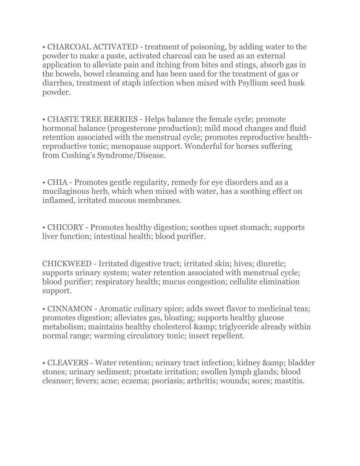• CHARCOAL ACTIVATED - treatment of poisoning, by adding water to the powder to make a paste, activated charcoal can be used as an external application to alleviate pain and itching from bites and stings, absorb gas in the bowels, bowel cleansing and has been used for the treatment of gas or diarrhea, treatment of staph infection when mixed with Psyllium seed husk powder.

• CHASTE TREE BERRIES - Helps balance the female cycle; promote hormonal balance (progesterone production); mild mood changes and fluid retention associated with the menstrual cycle; promotes reproductive healthreproductive tonic; menopause support. Wonderful for horses suffering from Cushing's Syndrome/Disease.

• CHIA - Promotes gentle regularity, remedy for eye disorders and as a mucilaginous herb, which when mixed with water, has a soothing effect on inflamed, irritated mucous membranes.

• CHICORY - Promotes healthy digestion; soothes upset stomach; supports liver function; intestinal health; blood purifier.

CHICKWEED - Irritated digestive tract; irritated skin; hives; diuretic; supports urinary system; water retention associated with menstrual cycle; blood purifier; respiratory health; mucus congestion; cellulite elimination support.

• CINNAMON - Aromatic culinary spice; adds sweet flavor to medicinal teas; promotes digestion; alleviates gas, bloating; supports healthy glucose metabolism; maintains healthy cholesterol & amp; triglyceride already within normal range; warming circulatory tonic; insect repellent.

• CLEAVERS - Water retention; urinary tract infection; kidney & amp; bladder stones; urinary sediment; prostate irritation; swollen lymph glands; blood cleanser; fevers; acne; eczema; psoriasis; arthritis; wounds; sores; mastitis.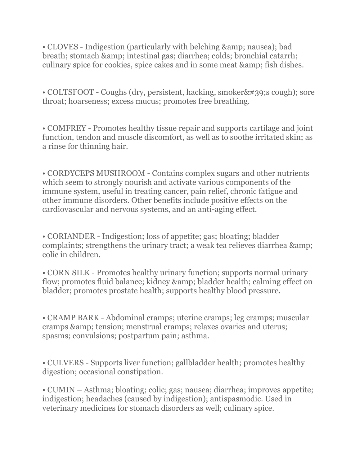• CLOVES - Indigestion (particularly with belching & amp; nausea); bad breath; stomach & amp; intestinal gas; diarrhea; colds; bronchial catarrh; culinary spice for cookies, spice cakes and in some meat & amp; fish dishes.

• COLTSFOOT - Coughs (dry, persistent, hacking, smoker' scough); sore throat; hoarseness; excess mucus; promotes free breathing.

• COMFREY - Promotes healthy tissue repair and supports cartilage and joint function, tendon and muscle discomfort, as well as to soothe irritated skin; as a rinse for thinning hair.

• CORDYCEPS MUSHROOM - Contains complex sugars and other nutrients which seem to strongly nourish and activate various components of the immune system, useful in treating cancer, pain relief, chronic fatigue and other immune disorders. Other benefits include positive effects on the cardiovascular and nervous systems, and an anti-aging effect.

• CORIANDER - Indigestion; loss of appetite; gas; bloating; bladder complaints; strengthens the urinary tract; a weak tea relieves diarrhea & colic in children.

• CORN SILK - Promotes healthy urinary function; supports normal urinary flow; promotes fluid balance; kidney & amp; bladder health; calming effect on bladder; promotes prostate health; supports healthy blood pressure.

• CRAMP BARK - Abdominal cramps; uterine cramps; leg cramps; muscular cramps & amp; tension; menstrual cramps; relaxes ovaries and uterus; spasms; convulsions; postpartum pain; asthma.

• CULVERS - Supports liver function; gallbladder health; promotes healthy digestion; occasional constipation.

• CUMIN – Asthma; bloating; colic; gas; nausea; diarrhea; improves appetite; indigestion; headaches (caused by indigestion); antispasmodic. Used in veterinary medicines for stomach disorders as well; culinary spice.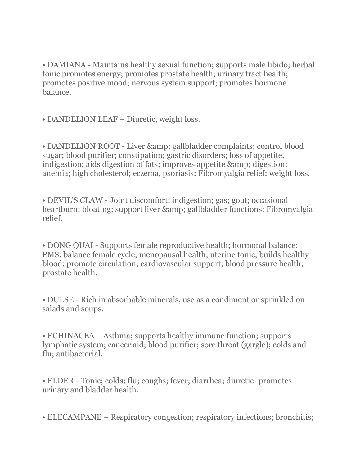• DAMIANA - Maintains healthy sexual function; supports male libido; herbal tonic promotes energy; promotes prostate health; urinary tract health; promotes positive mood; nervous system support; promotes hormone balance.

• DANDELION LEAF – Diuretic, weight loss.

• DANDELION ROOT - Liver & amp; gallbladder complaints; control blood sugar; blood purifier; constipation; gastric disorders; loss of appetite, indigestion; aids digestion of fats; improves appetite & amp; digestion; anemia; high cholesterol; eczema, psoriasis; Fibromyalgia relief; weight loss.

• DEVIL'S CLAW - Joint discomfort; indigestion; gas; gout; occasional heartburn; bloating; support liver & amp; gallbladder functions; Fibromyalgia relief.

• DONG QUAI - Supports female reproductive health; hormonal balance; PMS; balance female cycle; menopausal health; uterine tonic; builds healthy blood; promote circulation; cardiovascular support; blood pressure health; prostate health.

• DULSE - Rich in absorbable minerals, use as a condiment or sprinkled on salads and soups.

• ECHINACEA – Asthma; supports healthy immune function; supports lymphatic system; cancer aid; blood purifier; sore throat (gargle); colds and flu; antibacterial.

• ELDER - Tonic; colds; flu; coughs; fever; diarrhea; diuretic- promotes urinary and bladder health.

• ELECAMPANE – Respiratory congestion; respiratory infections; bronchitis;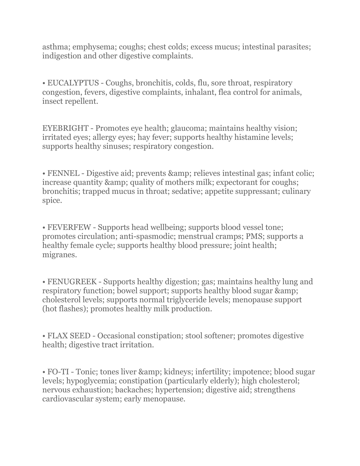asthma; emphysema; coughs; chest colds; excess mucus; intestinal parasites; indigestion and other digestive complaints.

• EUCALYPTUS - Coughs, bronchitis, colds, flu, sore throat, respiratory congestion, fevers, digestive complaints, inhalant, flea control for animals, insect repellent.

EYEBRIGHT - Promotes eye health; glaucoma; maintains healthy vision; irritated eyes; allergy eyes; hay fever; supports healthy histamine levels; supports healthy sinuses; respiratory congestion.

• FENNEL - Digestive aid; prevents & amp; relieves intestinal gas; infant colic; increase quantity & amp; quality of mothers milk; expectorant for coughs; bronchitis; trapped mucus in throat; sedative; appetite suppressant; culinary spice.

• FEVERFEW - Supports head wellbeing; supports blood vessel tone; promotes circulation; anti-spasmodic; menstrual cramps; PMS; supports a healthy female cycle; supports healthy blood pressure; joint health; migranes.

• FENUGREEK - Supports healthy digestion; gas; maintains healthy lung and respiratory function; bowel support; supports healthy blood sugar  $\&$ cholesterol levels; supports normal triglyceride levels; menopause support (hot flashes); promotes healthy milk production.

• FLAX SEED - Occasional constipation; stool softener; promotes digestive health; digestive tract irritation.

• FO-TI - Tonic; tones liver & amp; kidneys; infertility; impotence; blood sugar levels; hypoglycemia; constipation (particularly elderly); high cholesterol; nervous exhaustion; backaches; hypertension; digestive aid; strengthens cardiovascular system; early menopause.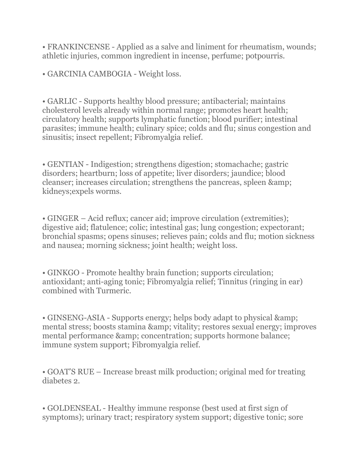• FRANKINCENSE - Applied as a salve and liniment for rheumatism, wounds; athletic injuries, common ingredient in incense, perfume; potpourris.

• GARCINIA CAMBOGIA - Weight loss.

• GARLIC - Supports healthy blood pressure; antibacterial; maintains cholesterol levels already within normal range; promotes heart health; circulatory health; supports lymphatic function; blood purifier; intestinal parasites; immune health; culinary spice; colds and flu; sinus congestion and sinusitis; insect repellent; Fibromyalgia relief.

• GENTIAN - Indigestion; strengthens digestion; stomachache; gastric disorders; heartburn; loss of appetite; liver disorders; jaundice; blood cleanser; increases circulation; strengthens the pancreas, spleen & kidneys;expels worms.

• GINGER – Acid reflux; cancer aid; improve circulation (extremities); digestive aid; flatulence; colic; intestinal gas; lung congestion; expectorant; bronchial spasms; opens sinuses; relieves pain; colds and flu; motion sickness and nausea; morning sickness; joint health; weight loss.

• GINKGO - Promote healthy brain function; supports circulation; antioxidant; anti-aging tonic; Fibromyalgia relief; Tinnitus (ringing in ear) combined with Turmeric.

• GINSENG-ASIA - Supports energy; helps body adapt to physical & amp; mental stress; boosts stamina & amp; vitality; restores sexual energy; improves mental performance & amp; concentration; supports hormone balance; immune system support; Fibromyalgia relief.

• GOAT'S RUE – Increase breast milk production; original med for treating diabetes 2.

• GOLDENSEAL - Healthy immune response (best used at first sign of symptoms); urinary tract; respiratory system support; digestive tonic; sore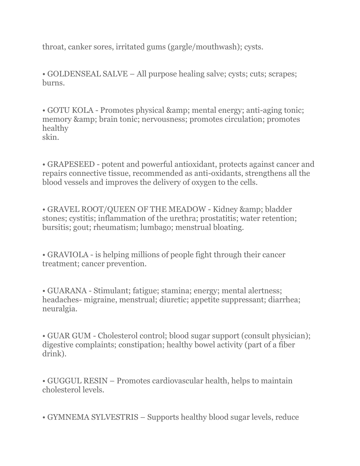throat, canker sores, irritated gums (gargle/mouthwash); cysts.

• GOLDENSEAL SALVE – All purpose healing salve; cysts; cuts; scrapes; burns.

• GOTU KOLA - Promotes physical & amp; mental energy; anti-aging tonic; memory & amp; brain tonic; nervousness; promotes circulation; promotes healthy skin.

• GRAPESEED - potent and powerful antioxidant, protects against cancer and repairs connective tissue, recommended as anti-oxidants, strengthens all the blood vessels and improves the delivery of oxygen to the cells.

• GRAVEL ROOT/QUEEN OF THE MEADOW - Kidney & amp; bladder stones; cystitis; inflammation of the urethra; prostatitis; water retention; bursitis; gout; rheumatism; lumbago; menstrual bloating.

• GRAVIOLA - is helping millions of people fight through their cancer treatment; cancer prevention.

• GUARANA - Stimulant; fatigue; stamina; energy; mental alertness; headaches- migraine, menstrual; diuretic; appetite suppressant; diarrhea; neuralgia.

• GUAR GUM - Cholesterol control; blood sugar support (consult physician); digestive complaints; constipation; healthy bowel activity (part of a fiber drink).

• GUGGUL RESIN – Promotes cardiovascular health, helps to maintain cholesterol levels.

• GYMNEMA SYLVESTRIS – Supports healthy blood sugar levels, reduce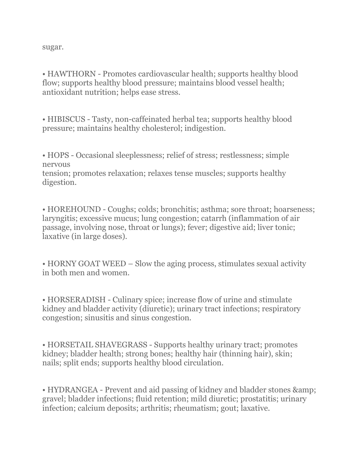sugar.

• HAWTHORN - Promotes cardiovascular health; supports healthy blood flow; supports healthy blood pressure; maintains blood vessel health; antioxidant nutrition; helps ease stress.

• HIBISCUS - Tasty, non-caffeinated herbal tea; supports healthy blood pressure; maintains healthy cholesterol; indigestion.

• HOPS - Occasional sleeplessness; relief of stress; restlessness; simple nervous

tension; promotes relaxation; relaxes tense muscles; supports healthy digestion.

• HOREHOUND - Coughs; colds; bronchitis; asthma; sore throat; hoarseness; laryngitis; excessive mucus; lung congestion; catarrh (inflammation of air passage, involving nose, throat or lungs); fever; digestive aid; liver tonic; laxative (in large doses).

• HORNY GOAT WEED – Slow the aging process, stimulates sexual activity in both men and women.

• HORSERADISH - Culinary spice; increase flow of urine and stimulate kidney and bladder activity (diuretic); urinary tract infections; respiratory congestion; sinusitis and sinus congestion.

• HORSETAIL SHAVEGRASS - Supports healthy urinary tract; promotes kidney; bladder health; strong bones; healthy hair (thinning hair), skin; nails; split ends; supports healthy blood circulation.

• HYDRANGEA - Prevent and aid passing of kidney and bladder stones & gravel; bladder infections; fluid retention; mild diuretic; prostatitis; urinary infection; calcium deposits; arthritis; rheumatism; gout; laxative.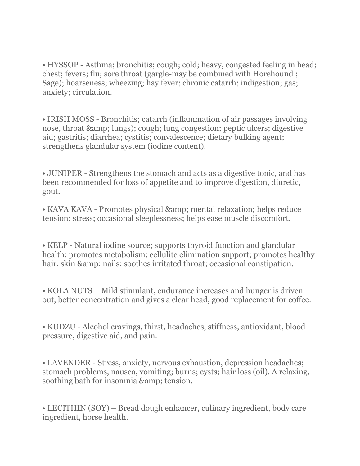• HYSSOP - Asthma; bronchitis; cough; cold; heavy, congested feeling in head; chest; fevers; flu; sore throat (gargle-may be combined with Horehound ; Sage); hoarseness; wheezing; hay fever; chronic catarrh; indigestion; gas; anxiety; circulation.

• IRISH MOSS - Bronchitis; catarrh (inflammation of air passages involving nose, throat & amp; lungs); cough; lung congestion; peptic ulcers; digestive aid; gastritis; diarrhea; cystitis; convalescence; dietary bulking agent; strengthens glandular system (iodine content).

• JUNIPER - Strengthens the stomach and acts as a digestive tonic, and has been recommended for loss of appetite and to improve digestion, diuretic, gout.

• KAVA KAVA - Promotes physical & amp; mental relaxation; helps reduce tension; stress; occasional sleeplessness; helps ease muscle discomfort.

• KELP - Natural iodine source; supports thyroid function and glandular health; promotes metabolism; cellulite elimination support; promotes healthy hair, skin & amp; nails; soothes irritated throat; occasional constipation.

• KOLA NUTS – Mild stimulant, endurance increases and hunger is driven out, better concentration and gives a clear head, good replacement for coffee.

• KUDZU - Alcohol cravings, thirst, headaches, stiffness, antioxidant, blood pressure, digestive aid, and pain.

• LAVENDER - Stress, anxiety, nervous exhaustion, depression headaches; stomach problems, nausea, vomiting; burns; cysts; hair loss (oil). A relaxing, soothing bath for insomnia & amp; tension.

• LECITHIN (SOY) – Bread dough enhancer, culinary ingredient, body care ingredient, horse health.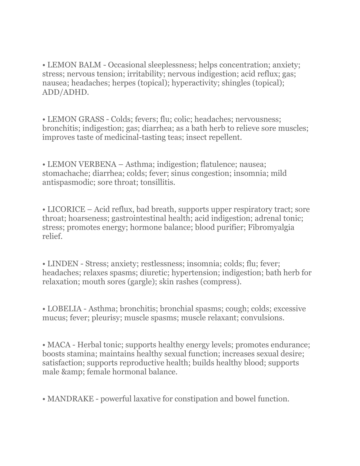• LEMON BALM - Occasional sleeplessness; helps concentration; anxiety; stress; nervous tension; irritability; nervous indigestion; acid reflux; gas; nausea; headaches; herpes (topical); hyperactivity; shingles (topical); ADD/ADHD.

• LEMON GRASS - Colds; fevers; flu; colic; headaches; nervousness; bronchitis; indigestion; gas; diarrhea; as a bath herb to relieve sore muscles; improves taste of medicinal-tasting teas; insect repellent.

• LEMON VERBENA – Asthma; indigestion; flatulence; nausea; stomachache; diarrhea; colds; fever; sinus congestion; insomnia; mild antispasmodic; sore throat; tonsillitis.

• LICORICE – Acid reflux, bad breath, supports upper respiratory tract; sore throat; hoarseness; gastrointestinal health; acid indigestion; adrenal tonic; stress; promotes energy; hormone balance; blood purifier; Fibromyalgia relief.

• LINDEN - Stress; anxiety; restlessness; insomnia; colds; flu; fever; headaches; relaxes spasms; diuretic; hypertension; indigestion; bath herb for relaxation; mouth sores (gargle); skin rashes (compress).

• LOBELIA - Asthma; bronchitis; bronchial spasms; cough; colds; excessive mucus; fever; pleurisy; muscle spasms; muscle relaxant; convulsions.

• MACA - Herbal tonic; supports healthy energy levels; promotes endurance; boosts stamina; maintains healthy sexual function; increases sexual desire; satisfaction; supports reproductive health; builds healthy blood; supports male & amp; female hormonal balance.

• MANDRAKE - powerful laxative for constipation and bowel function.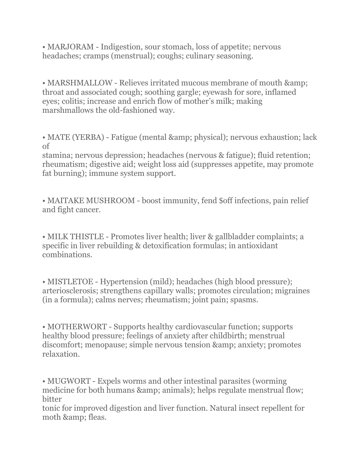• MARJORAM - Indigestion, sour stomach, loss of appetite; nervous headaches; cramps (menstrual); coughs; culinary seasoning.

• MARSHMALLOW - Relieves irritated mucous membrane of mouth & amp; throat and associated cough; soothing gargle; eyewash for sore, inflamed eyes; colitis; increase and enrich flow of mother's milk; making marshmallows the old-fashioned way.

• MATE (YERBA) - Fatigue (mental & amp; physical); nervous exhaustion; lack of

stamina; nervous depression; headaches (nervous & fatigue); fluid retention; rheumatism; digestive aid; weight loss aid (suppresses appetite, may promote fat burning); immune system support.

• MAITAKE MUSHROOM - boost immunity, fend \$off infections, pain relief and fight cancer.

• MILK THISTLE - Promotes liver health; liver & gallbladder complaints; a specific in liver rebuilding & detoxification formulas; in antioxidant combinations.

• MISTLETOE - Hypertension (mild); headaches (high blood pressure); arteriosclerosis; strengthens capillary walls; promotes circulation; migraines (in a formula); calms nerves; rheumatism; joint pain; spasms.

• MOTHERWORT - Supports healthy cardiovascular function; supports healthy blood pressure; feelings of anxiety after childbirth; menstrual discomfort; menopause; simple nervous tension & amp; anxiety; promotes relaxation.

• MUGWORT - Expels worms and other intestinal parasites (worming) medicine for both humans & amp; animals); helps regulate menstrual flow; bitter

tonic for improved digestion and liver function. Natural insect repellent for moth & amp; fleas.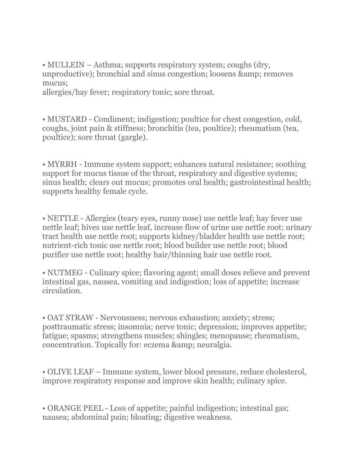• MULLEIN – Asthma; supports respiratory system; coughs (dry, unproductive); bronchial and sinus congestion; loosens & amp; removes mucus;

allergies/hay fever; respiratory tonic; sore throat.

• MUSTARD - Condiment; indigestion; poultice for chest congestion, cold, coughs, joint pain & stiffness; bronchitis (tea, poultice); rheumatism (tea, poultice); sore throat (gargle).

• MYRRH - Immune system support; enhances natural resistance; soothing support for mucus tissue of the throat, respiratory and digestive systems; sinus health; clears out mucus; promotes oral health; gastrointestinal health; supports healthy female cycle.

• NETTLE - Allergies (teary eyes, runny nose) use nettle leaf; hay fever use nettle leaf; hives use nettle leaf, increase flow of urine use nettle root; urinary tract health use nettle root; supports kidney/bladder health use nettle root; nutrient-rich tonic use nettle root; blood builder use nettle root; blood purifier use nettle root; healthy hair/thinning hair use nettle root.

• NUTMEG - Culinary spice; flavoring agent; small doses relieve and prevent intestinal gas, nausea, vomiting and indigestion; loss of appetite; increase circulation.

• OAT STRAW - Nervousness; nervous exhaustion; anxiety; stress; posttraumatic stress; insomnia; nerve tonic; depression; improves appetite; fatigue; spasms; strengthens muscles; shingles; menopause; rheumatism, concentration. Topically for: eczema & amp; neuralgia.

• OLIVE LEAF – Immune system, lower blood pressure, reduce cholesterol, improve respiratory response and improve skin health; culinary spice.

• ORANGE PEEL - Loss of appetite; painful indigestion; intestinal gas; nausea; abdominal pain; bloating; digestive weakness.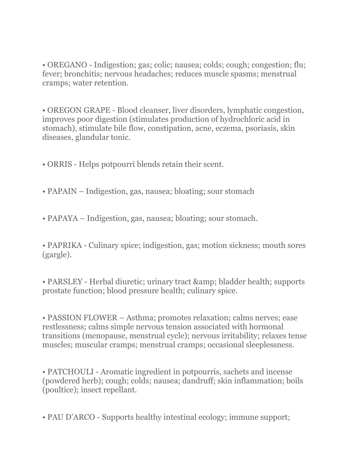• OREGANO - Indigestion; gas; colic; nausea; colds; cough; congestion; flu; fever; bronchitis; nervous headaches; reduces muscle spasms; menstrual cramps; water retention.

• OREGON GRAPE - Blood cleanser, liver disorders, lymphatic congestion, improves poor digestion (stimulates production of hydrochloric acid in stomach), stimulate bile flow, constipation, acne, eczema, psoriasis, skin diseases, glandular tonic.

- ORRIS Helps potpourri blends retain their scent.
- PAPAIN Indigestion, gas, nausea; bloating; sour stomach
- PAPAYA Indigestion, gas, nausea; bloating; sour stomach.

• PAPRIKA - Culinary spice; indigestion, gas; motion sickness; mouth sores (gargle).

• PARSLEY - Herbal diuretic; urinary tract & amp; bladder health; supports prostate function; blood pressure health; culinary spice.

• PASSION FLOWER – Asthma; promotes relaxation; calms nerves; ease restlessness; calms simple nervous tension associated with hormonal transitions (menopause, menstrual cycle); nervous irritability; relaxes tense muscles; muscular cramps; menstrual cramps; occasional sleeplessness.

• PATCHOULI - Aromatic ingredient in potpourris, sachets and incense (powdered herb); cough; colds; nausea; dandruff; skin inflammation; boils (poultice); insect repellant.

• PAU D'ARCO - Supports healthy intestinal ecology; immune support;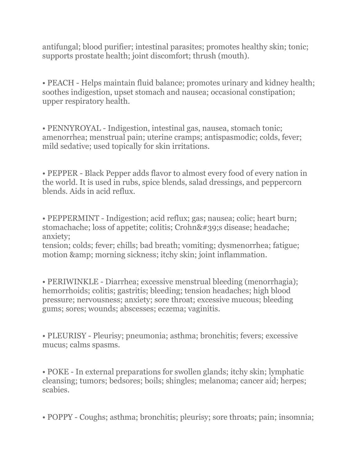antifungal; blood purifier; intestinal parasites; promotes healthy skin; tonic; supports prostate health; joint discomfort; thrush (mouth).

• PEACH - Helps maintain fluid balance; promotes urinary and kidney health; soothes indigestion, upset stomach and nausea; occasional constipation; upper respiratory health.

• PENNYROYAL - Indigestion, intestinal gas, nausea, stomach tonic; amenorrhea; menstrual pain; uterine cramps; antispasmodic; colds, fever; mild sedative; used topically for skin irritations.

• PEPPER - Black Pepper adds flavor to almost every food of every nation in the world. It is used in rubs, spice blends, salad dressings, and peppercorn blends. Aids in acid reflux.

• PEPPERMINT - Indigestion; acid reflux; gas; nausea; colic; heart burn; stomachache; loss of appetite; colitis; Crohn' s disease; headache; anxiety;

tension; colds; fever; chills; bad breath; vomiting; dysmenorrhea; fatigue; motion & amp; morning sickness; itchy skin; joint inflammation.

• PERIWINKLE - Diarrhea; excessive menstrual bleeding (menorrhagia); hemorrhoids; colitis; gastritis; bleeding; tension headaches; high blood pressure; nervousness; anxiety; sore throat; excessive mucous; bleeding gums; sores; wounds; abscesses; eczema; vaginitis.

• PLEURISY - Pleurisy; pneumonia; asthma; bronchitis; fevers; excessive mucus; calms spasms.

• POKE - In external preparations for swollen glands; itchy skin; lymphatic cleansing; tumors; bedsores; boils; shingles; melanoma; cancer aid; herpes; scabies.

• POPPY - Coughs; asthma; bronchitis; pleurisy; sore throats; pain; insomnia;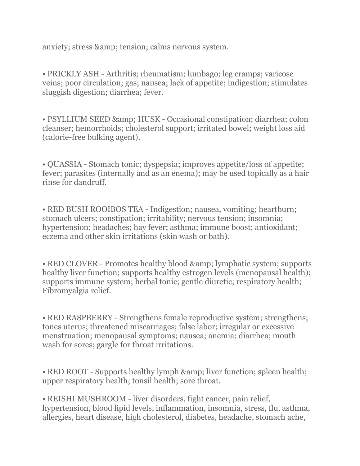anxiety; stress & amp; tension; calms nervous system.

• PRICKLY ASH - Arthritis; rheumatism; lumbago; leg cramps; varicose veins; poor circulation; gas; nausea; lack of appetite; indigestion; stimulates sluggish digestion; diarrhea; fever.

• PSYLLIUM SEED & amp; HUSK - Occasional constipation; diarrhea; colon cleanser; hemorrhoids; cholesterol support; irritated bowel; weight loss aid (calorie-free bulking agent).

• QUASSIA - Stomach tonic; dyspepsia; improves appetite/loss of appetite; fever; parasites (internally and as an enema); may be used topically as a hair rinse for dandruff.

• RED BUSH ROOIBOS TEA - Indigestion; nausea, vomiting; heartburn; stomach ulcers; constipation; irritability; nervous tension; insomnia; hypertension; headaches; hay fever; asthma; immune boost; antioxidant; eczema and other skin irritations (skin wash or bath).

• RED CLOVER - Promotes healthy blood & amp; lymphatic system; supports healthy liver function; supports healthy estrogen levels (menopausal health); supports immune system; herbal tonic; gentle diuretic; respiratory health; Fibromyalgia relief.

• RED RASPBERRY - Strengthens female reproductive system; strengthens; tones uterus; threatened miscarriages; false labor; irregular or excessive menstruation; menopausal symptoms; nausea; anemia; diarrhea; mouth wash for sores; gargle for throat irritations.

• RED ROOT - Supports healthy lymph & amp; liver function; spleen health; upper respiratory health; tonsil health; sore throat.

• REISHI MUSHROOM - liver disorders, fight cancer, pain relief, hypertension, blood lipid levels, inflammation, insomnia, stress, flu, asthma, allergies, heart disease, high cholesterol, diabetes, headache, stomach ache,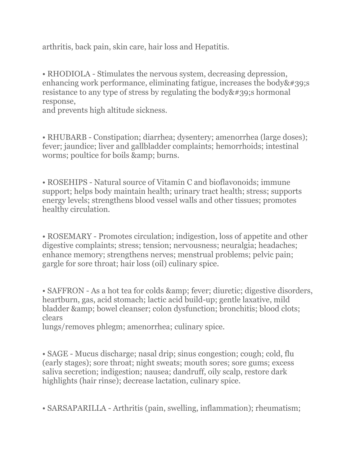arthritis, back pain, skin care, hair loss and Hepatitis.

• RHODIOLA - Stimulates the nervous system, decreasing depression, enhancing work performance, eliminating fatigue, increases the body  $\&\#39$ ; s resistance to any type of stress by regulating the body  $\&\#39$ ; shormonal response,

and prevents high altitude sickness.

• RHUBARB - Constipation; diarrhea; dysentery; amenorrhea (large doses); fever; jaundice; liver and gallbladder complaints; hemorrhoids; intestinal worms; poultice for boils & amp; burns.

• ROSEHIPS - Natural source of Vitamin C and bioflavonoids; immune support; helps body maintain health; urinary tract health; stress; supports energy levels; strengthens blood vessel walls and other tissues; promotes healthy circulation.

• ROSEMARY - Promotes circulation; indigestion, loss of appetite and other digestive complaints; stress; tension; nervousness; neuralgia; headaches; enhance memory; strengthens nerves; menstrual problems; pelvic pain; gargle for sore throat; hair loss (oil) culinary spice.

• SAFFRON - As a hot tea for colds & amp; fever; diuretic; digestive disorders, heartburn, gas, acid stomach; lactic acid build-up; gentle laxative, mild bladder & amp; bowel cleanser; colon dysfunction; bronchitis; blood clots; clears

lungs/removes phlegm; amenorrhea; culinary spice.

• SAGE - Mucus discharge; nasal drip; sinus congestion; cough; cold, flu (early stages); sore throat; night sweats; mouth sores; sore gums; excess saliva secretion; indigestion; nausea; dandruff, oily scalp, restore dark highlights (hair rinse); decrease lactation, culinary spice.

• SARSAPARILLA - Arthritis (pain, swelling, inflammation); rheumatism;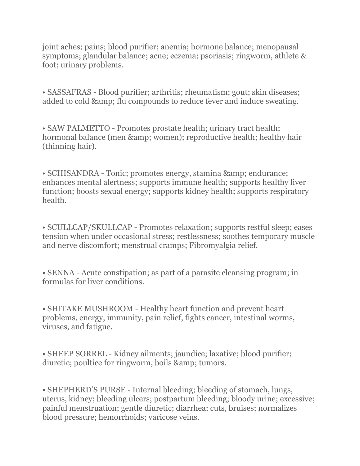joint aches; pains; blood purifier; anemia; hormone balance; menopausal symptoms; glandular balance; acne; eczema; psoriasis; ringworm, athlete & foot; urinary problems.

• SASSAFRAS - Blood purifier; arthritis; rheumatism; gout; skin diseases; added to cold & amp; flu compounds to reduce fever and induce sweating.

• SAW PALMETTO - Promotes prostate health; urinary tract health; hormonal balance (men & amp; women); reproductive health; healthy hair (thinning hair).

• SCHISANDRA - Tonic; promotes energy, stamina & amp; endurance; enhances mental alertness; supports immune health; supports healthy liver function; boosts sexual energy; supports kidney health; supports respiratory health.

• SCULLCAP/SKULLCAP - Promotes relaxation; supports restful sleep; eases tension when under occasional stress; restlessness; soothes temporary muscle and nerve discomfort; menstrual cramps; Fibromyalgia relief.

• SENNA - Acute constipation; as part of a parasite cleansing program; in formulas for liver conditions.

• SHITAKE MUSHROOM - Healthy heart function and prevent heart problems, energy, immunity, pain relief, fights cancer, intestinal worms, viruses, and fatigue.

• SHEEP SORREL - Kidney ailments; jaundice; laxative; blood purifier; diuretic; poultice for ringworm, boils & amp; tumors.

• SHEPHERD'S PURSE - Internal bleeding; bleeding of stomach, lungs, uterus, kidney; bleeding ulcers; postpartum bleeding; bloody urine; excessive; painful menstruation; gentle diuretic; diarrhea; cuts, bruises; normalizes blood pressure; hemorrhoids; varicose veins.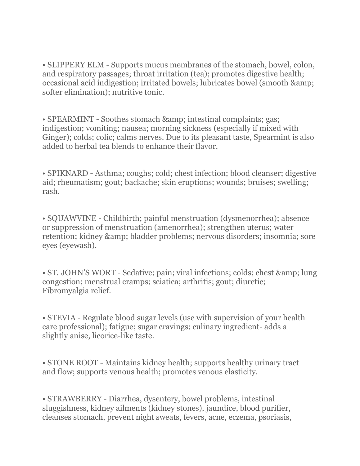• SLIPPERY ELM - Supports mucus membranes of the stomach, bowel, colon, and respiratory passages; throat irritation (tea); promotes digestive health; occasional acid indigestion; irritated bowels; lubricates bowel (smooth & softer elimination); nutritive tonic.

• SPEARMINT - Soothes stomach & amp; intestinal complaints; gas; indigestion; vomiting; nausea; morning sickness (especially if mixed with Ginger); colds; colic; calms nerves. Due to its pleasant taste, Spearmint is also added to herbal tea blends to enhance their flavor.

• SPIKNARD - Asthma; coughs; cold; chest infection; blood cleanser; digestive aid; rheumatism; gout; backache; skin eruptions; wounds; bruises; swelling; rash.

• SQUAWVINE - Childbirth; painful menstruation (dysmenorrhea); absence or suppression of menstruation (amenorrhea); strengthen uterus; water retention; kidney & amp; bladder problems; nervous disorders; insomnia; sore eyes (eyewash).

• ST. JOHN'S WORT - Sedative; pain; viral infections; colds; chest & amp; lung congestion; menstrual cramps; sciatica; arthritis; gout; diuretic; Fibromyalgia relief.

• STEVIA - Regulate blood sugar levels (use with supervision of your health care professional); fatigue; sugar cravings; culinary ingredient- adds a slightly anise, licorice-like taste.

• STONE ROOT - Maintains kidney health; supports healthy urinary tract and flow; supports venous health; promotes venous elasticity.

• STRAWBERRY - Diarrhea, dysentery, bowel problems, intestinal sluggishness, kidney ailments (kidney stones), jaundice, blood purifier, cleanses stomach, prevent night sweats, fevers, acne, eczema, psoriasis,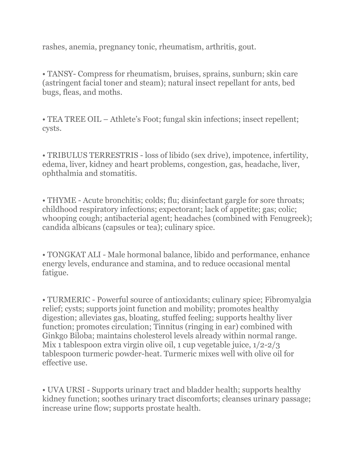rashes, anemia, pregnancy tonic, rheumatism, arthritis, gout.

• TANSY- Compress for rheumatism, bruises, sprains, sunburn; skin care (astringent facial toner and steam); natural insect repellant for ants, bed bugs, fleas, and moths.

• TEA TREE OIL – Athlete's Foot; fungal skin infections; insect repellent; cysts.

• TRIBULUS TERRESTRIS - loss of libido (sex drive), impotence, infertility, edema, liver, kidney and heart problems, congestion, gas, headache, liver, ophthalmia and stomatitis.

• THYME - Acute bronchitis; colds; flu; disinfectant gargle for sore throats; childhood respiratory infections; expectorant; lack of appetite; gas; colic; whooping cough; antibacterial agent; headaches (combined with Fenugreek); candida albicans (capsules or tea); culinary spice.

• TONGKAT ALI - Male hormonal balance, libido and performance, enhance energy levels, endurance and stamina, and to reduce occasional mental fatigue.

• TURMERIC - Powerful source of antioxidants; culinary spice; Fibromyalgia relief; cysts; supports joint function and mobility; promotes healthy digestion; alleviates gas, bloating, stuffed feeling; supports healthy liver function; promotes circulation; Tinnitus (ringing in ear) combined with Ginkgo Biloba; maintains cholesterol levels already within normal range. Mix 1 tablespoon extra virgin olive oil, 1 cup vegetable juice, 1/2-2/3 tablespoon turmeric powder-heat. Turmeric mixes well with olive oil for effective use.

• UVA URSI - Supports urinary tract and bladder health; supports healthy kidney function; soothes urinary tract discomforts; cleanses urinary passage; increase urine flow; supports prostate health.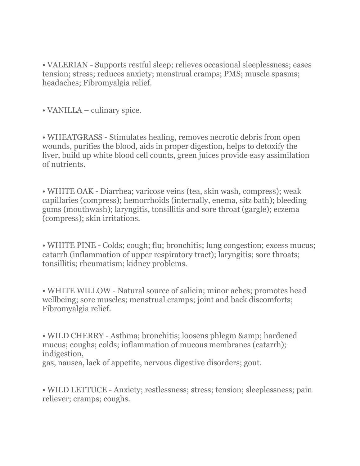• VALERIAN - Supports restful sleep; relieves occasional sleeplessness; eases tension; stress; reduces anxiety; menstrual cramps; PMS; muscle spasms; headaches; Fibromyalgia relief.

• VANILLA – culinary spice.

• WHEATGRASS - Stimulates healing, removes necrotic debris from open wounds, purifies the blood, aids in proper digestion, helps to detoxify the liver, build up white blood cell counts, green juices provide easy assimilation of nutrients.

• WHITE OAK - Diarrhea; varicose veins (tea, skin wash, compress); weak capillaries (compress); hemorrhoids (internally, enema, sitz bath); bleeding gums (mouthwash); laryngitis, tonsillitis and sore throat (gargle); eczema (compress); skin irritations.

• WHITE PINE - Colds; cough; flu; bronchitis; lung congestion; excess mucus; catarrh (inflammation of upper respiratory tract); laryngitis; sore throats; tonsillitis; rheumatism; kidney problems.

• WHITE WILLOW - Natural source of salicin; minor aches; promotes head wellbeing; sore muscles; menstrual cramps; joint and back discomforts; Fibromyalgia relief.

• WILD CHERRY - Asthma; bronchitis; loosens phlegm & amp; hardened mucus; coughs; colds; inflammation of mucous membranes (catarrh); indigestion, gas, nausea, lack of appetite, nervous digestive disorders; gout.

• WILD LETTUCE - Anxiety; restlessness; stress; tension; sleeplessness; pain reliever; cramps; coughs.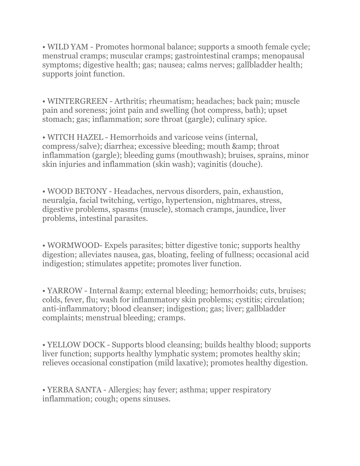• WILD YAM - Promotes hormonal balance; supports a smooth female cycle; menstrual cramps; muscular cramps; gastrointestinal cramps; menopausal symptoms; digestive health; gas; nausea; calms nerves; gallbladder health; supports joint function.

• WINTERGREEN - Arthritis; rheumatism; headaches; back pain; muscle pain and soreness; joint pain and swelling (hot compress, bath); upset stomach; gas; inflammation; sore throat (gargle); culinary spice.

• WITCH HAZEL - Hemorrhoids and varicose veins (internal, compress/salve); diarrhea; excessive bleeding; mouth & amp; throat inflammation (gargle); bleeding gums (mouthwash); bruises, sprains, minor skin injuries and inflammation (skin wash); vaginitis (douche).

• WOOD BETONY - Headaches, nervous disorders, pain, exhaustion, neuralgia, facial twitching, vertigo, hypertension, nightmares, stress, digestive problems, spasms (muscle), stomach cramps, jaundice, liver problems, intestinal parasites.

• WORMWOOD- Expels parasites; bitter digestive tonic; supports healthy digestion; alleviates nausea, gas, bloating, feeling of fullness; occasional acid indigestion; stimulates appetite; promotes liver function.

• YARROW - Internal & amp; external bleeding; hemorrhoids; cuts, bruises; colds, fever, flu; wash for inflammatory skin problems; cystitis; circulation; anti-inflammatory; blood cleanser; indigestion; gas; liver; gallbladder complaints; menstrual bleeding; cramps.

• YELLOW DOCK - Supports blood cleansing; builds healthy blood; supports liver function; supports healthy lymphatic system; promotes healthy skin; relieves occasional constipation (mild laxative); promotes healthy digestion.

• YERBA SANTA - Allergies; hay fever; asthma; upper respiratory inflammation; cough; opens sinuses.